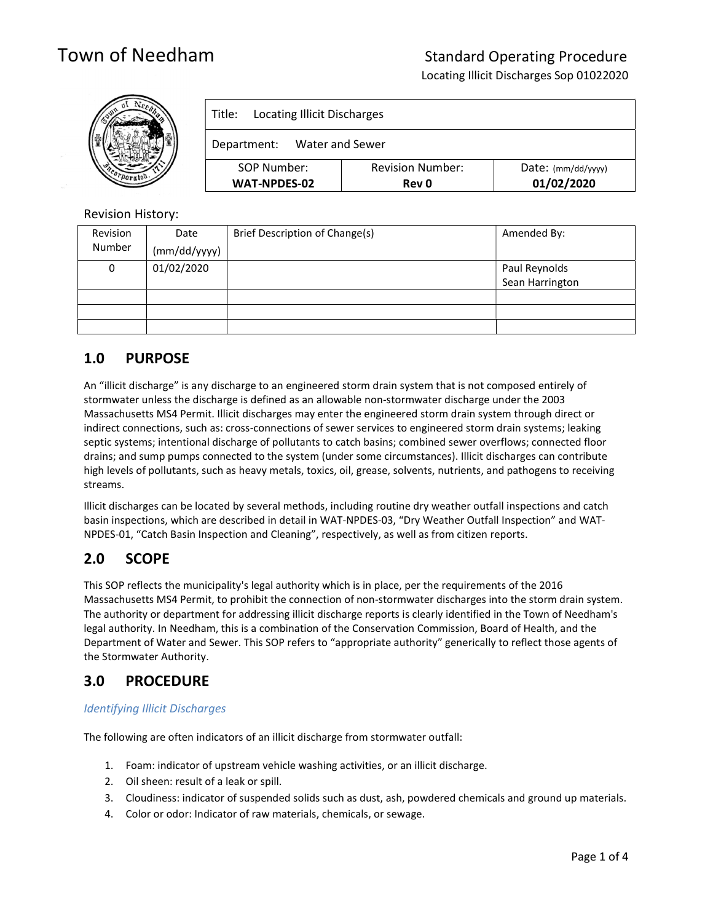Locating Illicit Discharges Sop 01022020

|  | <b>Locating Illicit Discharges</b><br>Title: |                                         |                                  |  |
|--|----------------------------------------------|-----------------------------------------|----------------------------------|--|
|  | Water and Sewer<br>Department:               |                                         |                                  |  |
|  | SOP Number:<br>WAT-NPDES-02                  | <b>Revision Number:</b><br><b>Rev 0</b> | Date: (mm/dd/yyyy)<br>01/02/2020 |  |

### Revision History:

| Revision | Date         | Brief Description of Change(s) | Amended By:     |
|----------|--------------|--------------------------------|-----------------|
| Number   | (mm/dd/yyyy) |                                |                 |
| 0        | 01/02/2020   |                                | Paul Reynolds   |
|          |              |                                | Sean Harrington |
|          |              |                                |                 |
|          |              |                                |                 |
|          |              |                                |                 |

# 1.0 PURPOSE

An "illicit discharge" is any discharge to an engineered storm drain system that is not composed entirely of stormwater unless the discharge is defined as an allowable non-stormwater discharge under the 2003 Massachusetts MS4 Permit. Illicit discharges may enter the engineered storm drain system through direct or indirect connections, such as: cross-connections of sewer services to engineered storm drain systems; leaking septic systems; intentional discharge of pollutants to catch basins; combined sewer overflows; connected floor drains; and sump pumps connected to the system (under some circumstances). Illicit discharges can contribute high levels of pollutants, such as heavy metals, toxics, oil, grease, solvents, nutrients, and pathogens to receiving streams.

Illicit discharges can be located by several methods, including routine dry weather outfall inspections and catch basin inspections, which are described in detail in WAT-NPDES-03, "Dry Weather Outfall Inspection" and WAT-NPDES-01, "Catch Basin Inspection and Cleaning", respectively, as well as from citizen reports.

# 2.0 SCOPE

This SOP reflects the municipality's legal authority which is in place, per the requirements of the 2016 Massachusetts MS4 Permit, to prohibit the connection of non-stormwater discharges into the storm drain system. The authority or department for addressing illicit discharge reports is clearly identified in the Town of Needham's legal authority. In Needham, this is a combination of the Conservation Commission, Board of Health, and the Department of Water and Sewer. This SOP refers to "appropriate authority" generically to reflect those agents of the Stormwater Authority.

# 3.0 PROCEDURE

### Identifying Illicit Discharges

The following are often indicators of an illicit discharge from stormwater outfall:

- 1. Foam: indicator of upstream vehicle washing activities, or an illicit discharge.
- 2. Oil sheen: result of a leak or spill.
- 3. Cloudiness: indicator of suspended solids such as dust, ash, powdered chemicals and ground up materials.
- 4. Color or odor: Indicator of raw materials, chemicals, or sewage.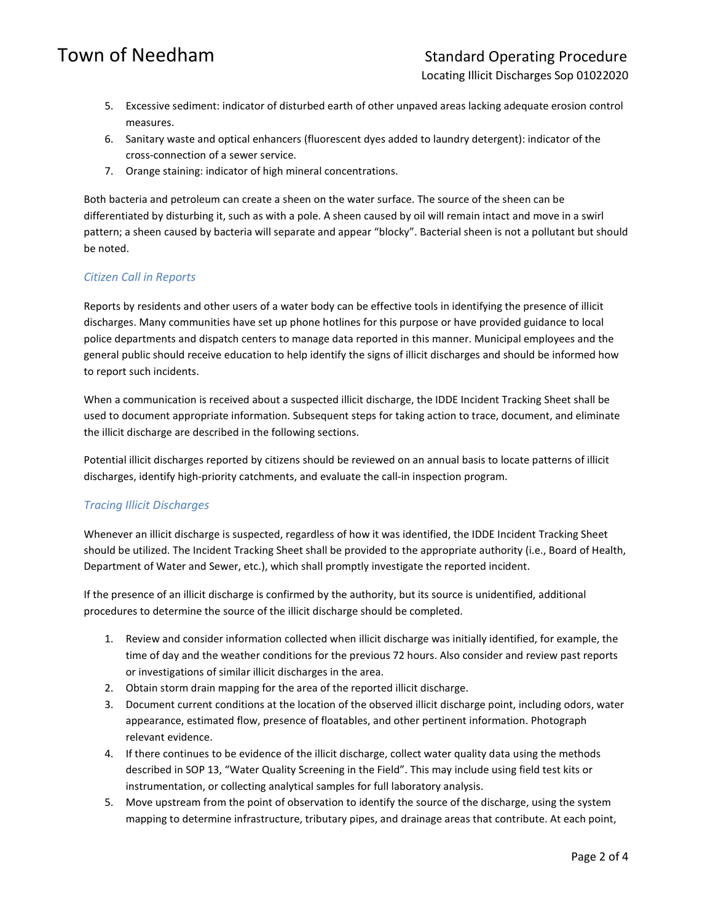Locating Illicit Discharges Sop 01022020

- 5. Excessive sediment: indicator of disturbed earth of other unpaved areas lacking adequate erosion control measures.
- 6. Sanitary waste and optical enhancers (fluorescent dyes added to laundry detergent): indicator of the cross-connection of a sewer service.
- 7. Orange staining: indicator of high mineral concentrations.

Both bacteria and petroleum can create a sheen on the water surface. The source of the sheen can be differentiated by disturbing it, such as with a pole. A sheen caused by oil will remain intact and move in a swirl pattern; a sheen caused by bacteria will separate and appear "blocky". Bacterial sheen is not a pollutant but should be noted.

### Citizen Call in Reports

Reports by residents and other users of a water body can be effective tools in identifying the presence of illicit discharges. Many communities have set up phone hotlines for this purpose or have provided guidance to local police departments and dispatch centers to manage data reported in this manner. Municipal employees and the general public should receive education to help identify the signs of illicit discharges and should be informed how to report such incidents.

When a communication is received about a suspected illicit discharge, the IDDE Incident Tracking Sheet shall be used to document appropriate information. Subsequent steps for taking action to trace, document, and eliminate the illicit discharge are described in the following sections.

Potential illicit discharges reported by citizens should be reviewed on an annual basis to locate patterns of illicit discharges, identify high-priority catchments, and evaluate the call-in inspection program.

#### Tracing Illicit Discharges

Whenever an illicit discharge is suspected, regardless of how it was identified, the IDDE Incident Tracking Sheet should be utilized. The Incident Tracking Sheet shall be provided to the appropriate authority (i.e., Board of Health, Department of Water and Sewer, etc.), which shall promptly investigate the reported incident.

If the presence of an illicit discharge is confirmed by the authority, but its source is unidentified, additional procedures to determine the source of the illicit discharge should be completed.

- 1. Review and consider information collected when illicit discharge was initially identified, for example, the time of day and the weather conditions for the previous 72 hours. Also consider and review past reports or investigations of similar illicit discharges in the area.
- 2. Obtain storm drain mapping for the area of the reported illicit discharge.
- 3. Document current conditions at the location of the observed illicit discharge point, including odors, water appearance, estimated flow, presence of floatables, and other pertinent information. Photograph relevant evidence.
- 4. If there continues to be evidence of the illicit discharge, collect water quality data using the methods described in SOP 13, "Water Quality Screening in the Field". This may include using field test kits or instrumentation, or collecting analytical samples for full laboratory analysis.
- 5. Move upstream from the point of observation to identify the source of the discharge, using the system mapping to determine infrastructure, tributary pipes, and drainage areas that contribute. At each point,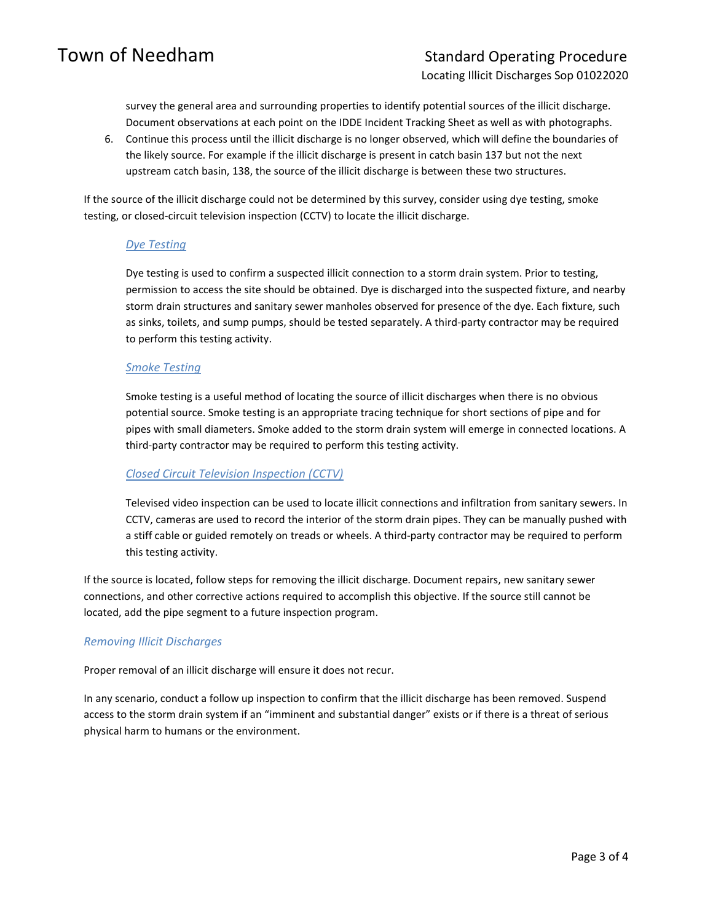survey the general area and surrounding properties to identify potential sources of the illicit discharge. Document observations at each point on the IDDE Incident Tracking Sheet as well as with photographs.

6. Continue this process until the illicit discharge is no longer observed, which will define the boundaries of the likely source. For example if the illicit discharge is present in catch basin 137 but not the next upstream catch basin, 138, the source of the illicit discharge is between these two structures.

If the source of the illicit discharge could not be determined by this survey, consider using dye testing, smoke testing, or closed-circuit television inspection (CCTV) to locate the illicit discharge.

### Dye Testing

Dye testing is used to confirm a suspected illicit connection to a storm drain system. Prior to testing, permission to access the site should be obtained. Dye is discharged into the suspected fixture, and nearby storm drain structures and sanitary sewer manholes observed for presence of the dye. Each fixture, such as sinks, toilets, and sump pumps, should be tested separately. A third-party contractor may be required to perform this testing activity.

### Smoke Testing

Smoke testing is a useful method of locating the source of illicit discharges when there is no obvious potential source. Smoke testing is an appropriate tracing technique for short sections of pipe and for pipes with small diameters. Smoke added to the storm drain system will emerge in connected locations. A third-party contractor may be required to perform this testing activity.

#### Closed Circuit Television Inspection (CCTV)

Televised video inspection can be used to locate illicit connections and infiltration from sanitary sewers. In CCTV, cameras are used to record the interior of the storm drain pipes. They can be manually pushed with a stiff cable or guided remotely on treads or wheels. A third-party contractor may be required to perform this testing activity.

If the source is located, follow steps for removing the illicit discharge. Document repairs, new sanitary sewer connections, and other corrective actions required to accomplish this objective. If the source still cannot be located, add the pipe segment to a future inspection program.

#### Removing Illicit Discharges

Proper removal of an illicit discharge will ensure it does not recur.

In any scenario, conduct a follow up inspection to confirm that the illicit discharge has been removed. Suspend access to the storm drain system if an "imminent and substantial danger" exists or if there is a threat of serious physical harm to humans or the environment.